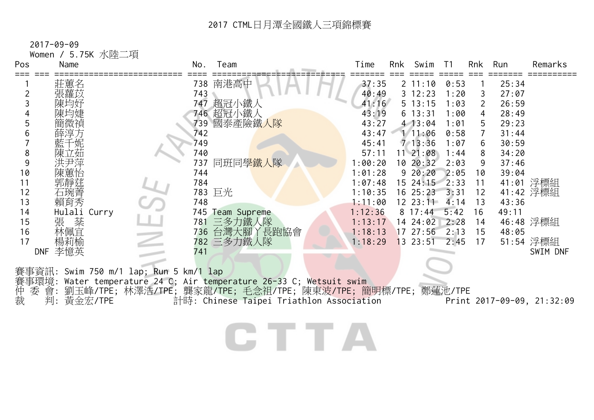2017-09-09

Women / 5.75K 水陸二項 Pos Name No. Team Time Rnk Swim T1 Rnk Run Remarks === === ========================== ==== =========================== ======= === ===== ===== === ======= ========== <sup>1</sup>莊蕙名 738 南港高中 37:35 2 11:10 0:53 1 25:34 <sup>2</sup>張蘿苡 743 40:49 3 12:23 1:20 3 27:07 <sup>3</sup>陳均妤 747 超冠小鐵人 41:16 5 13:15 1:03 2 26:59 <sup>4</sup>陳均婕 746 超冠小鐵人 43:19 6 13:31 1:00 4 28:49 <sup>5</sup>簡微禎 739 國泰產險鐵人隊 43:27 4 13:04 1:01 5 29:23 <sup>6</sup>薛淳方 742 43:47 1 11:06 0:58 7 31:44 <sup>7</sup>藍千妮 749 45:41 7 13:36 1:07 6 30:59 <sup>8</sup>陳立茹 740 57:11 11 21:08 1:44 8 34:20 9 洪尹萍 737 同班同<mark>學鐵人</mark>隊 1:00:20 10 20:32 2:03 9 37:46 <sup>10</sup>陳蕙怡 744 1:01:28 9 20:20 2:05 10 39:04 <sup>11</sup>郭靜莛 784 1:07:48 15 24:15 2:33 11 41:01 浮標組 <sup>12</sup>石琬菁 783 巨光 1:10:35 16 25:23 3:31 12 41:42 浮標組 13 賴育秀 748 1:11:00 12 23:11 4:14 13 43:36<br>14 Hulali Curry 745 Team Supreme 1:12:36 8 17:44 5:42 16 49:11 14 Hulali Curry 745 Team Supreme 1:12:36 8 17:44 5:42 16 49:11 <sup>15</sup>張 棻 781 三多力鐵人隊 1:13:17 14 24:02 2:28 14 46:48 浮標組 <sup>16</sup>林佩宜 736 台灣大腳丫長跑協會 1:18:13 17 27:56 2:13 15 48:05 <sup>17</sup>楊莉榆 782 三多力鐵人隊 1:18:29 13 23:51 2:45 17 51:54 浮標組 DNF 李憶英 741 SWIM DNF 賽事資訊: Swim 750 m/1 lap; Run 5 km/1 lap 賽事環境: Water temperature 24 C; Air temperature 26-33 C; Wetsuit swim 仲 委 )<br>委 會: 劉玉峰/TPE; 林澤浩/TPE; 龔家龍/TPE; 毛念祖/TPE; 陳東波/TPE; 簡明標/TPE; 鄭蓮池/TPE<br>川: 黃金宏/TPE 計時: Chinese Taipei Triathlon Association Print 裁 判: 黃金宏/TPE 計時: Chinese Taipei Triathlon Association Print 2017-09-09, 21:32:09

CHILA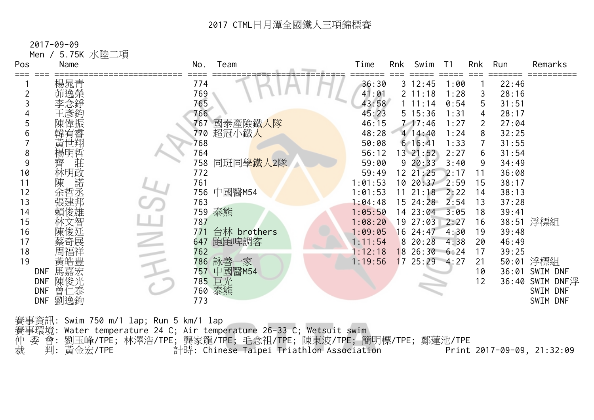2017-09-09

Men / 5.75K 水陸二項

| Pos | Name              | Team<br>No.        | Time    | Rnk<br>Swim    | T <sub>1</sub> | Rnk            | Run   | Remarks         |
|-----|-------------------|--------------------|---------|----------------|----------------|----------------|-------|-----------------|
|     | 楊晁青               | 774                | 36:30   | $3 \t12:45$    | 1:00           |                | 22:46 |                 |
|     | 茆逸榮               | 769                | 41:01   | 2 11:18        | 1:28           | 3              | 28:16 |                 |
|     | 李念錚               | 765                | 43:58   | 1 11:14        | 0:54           | 5              | 31:51 |                 |
|     | 王彥鈞               | 766                | 45:23   | 5 15:36        | 1:31           | 4              | 28:17 |                 |
|     | 陳偉振               | 國泰產險鐵人隊<br>767     | 46:15   | $7 - 17:46$    | 1:27           | $\overline{2}$ | 27:04 |                 |
|     |                   | 超冠小鐵人<br>770       | 48:28   | 414:40         | 1:24           | 8              | 32:25 |                 |
|     | 黃世翔               | 768                | 50:08   | $6 \t16:41$    | 1:33           | 7              | 31:55 |                 |
| 8   | 楊明哲               | 764                | 56:12   | 13 21:52       | 2:27           | 6              | 31:54 |                 |
| 9   | 莊<br>齊            | 同班同學鐵人2隊<br>758    | 59:00   | 920:33         | 3:40           | 9              | 34:49 |                 |
| 10  | 林明政               | 772                | 59:49   | $12 \t21:25$   | 2:17           | 11             | 36:08 |                 |
| 11  | 諾<br>陳            | 761                | 1:01:53 | 10 20:37 2:59  |                | 15             | 38:17 |                 |
| 12  | 余哲丞               | 756 中國醫M54         | 1:01:53 | 21:18<br>11    | 2:22           | 14             | 38:13 |                 |
| 13  | 張建邦               | 763                | 1:04:48 | $15 \ \ 24:28$ | 2:54           | 13             | 37:28 |                 |
| 14  | 賴俊雄               | 759 泰熊             | 1:05:50 | 14 23:04       | 3:05           | 18             | 39:41 |                 |
| 15  | 林文智               | 787                | 1:08:20 | 27:03<br>19    | 2:27           | 16             |       | 38:51 浮標組       |
| 16  | 陳俊廷               | 台林 brothers<br>771 | 1:09:05 | 24:47<br>16    | 4:30           | 19             | 39:48 |                 |
| 17  | 蔡奇展               | 647 跑跑啤調客          | 1:11:54 | 8 20:28        | 4:38           | 20             | 46:49 |                 |
| 18  | 周福祥               | 762                | 1:12:18 | 1826:30        | 6:24           | 17             | 39:25 |                 |
| 19  | 黃皓豊               | 786 詠善一家           | 1:19:56 | 1725:294:27    |                | 21             |       | 50:01 浮標組       |
|     | 馬嘉宏<br><b>DNF</b> | 757 中國醫M54         |         |                |                | 10             |       | 36:01 SWIM DNF  |
|     | 陳俊光<br><b>DNF</b> | 785 巨光             |         |                |                | 12             |       | 36:40 SWIM DNF浮 |
|     | 曾仁泰<br><b>DNF</b> | 泰熊<br>760          |         |                |                |                |       | SWIM DNF        |
|     | 劉逸鈞<br><b>DNF</b> | 773                |         |                |                |                |       | SWIM DNF        |
|     |                   |                    |         |                |                |                |       |                 |

賽事資訊: Swim 750 m/1 lap; Run 5 km/1 lap 賽事環境: Water temperature 24 C; Air temperature 26-33 C; Wetsuit swim 仲 委 會: 劉玉峰/TPE; 林澤浩/TPE; 龔家龍/TPE; 毛念祖/TPE; 陳東波/TPE; 簡明標/TPE; 鄭蓮池/TPE 裁 判: 黃金宏/TPE 計時: Chinese Taipei Triathlon Association Print 2017-09-09, 21:32:09